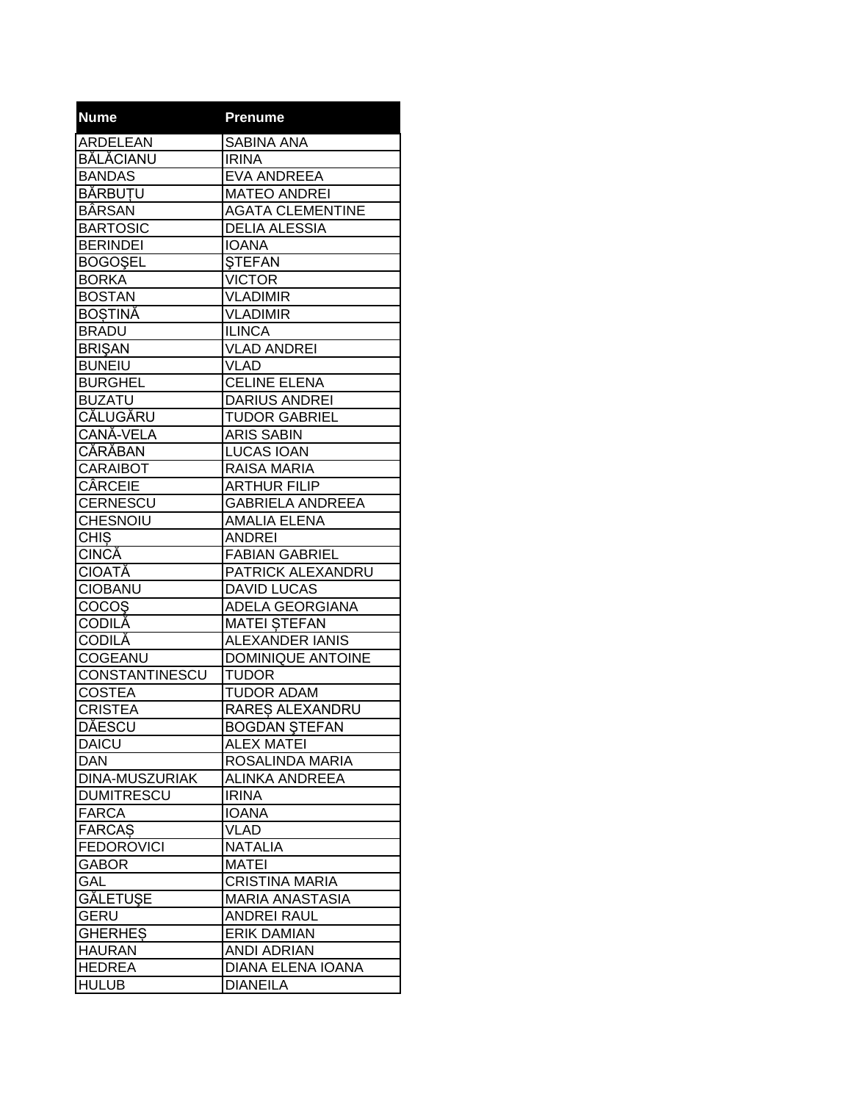| <b>Nume</b>           | <b>Prenume</b>           |
|-----------------------|--------------------------|
| <b>ARDELEAN</b>       | <b>SABINA ANA</b>        |
| <b>BĂLĂCIANU</b>      | <b>IRINA</b>             |
| <b>BANDAS</b>         | <b>EVA ANDREEA</b>       |
| <b>BĂRBUTU</b>        | <b>MATEO ANDREI</b>      |
| <b>BÂRSAN</b>         | <b>AGATA CLEMENTINE</b>  |
| <b>BARTOSIC</b>       | <b>DELIA ALESSIA</b>     |
| <b>BERINDEI</b>       | <b>IOANA</b>             |
| <b>BOGOSEL</b>        | <b>STEFAN</b>            |
| <b>BORKA</b>          | <b>VICTOR</b>            |
| <b>BOSTAN</b>         | <b>VLADIMIR</b>          |
| <b>BOSTINĂ</b>        | <b>VLADIMIR</b>          |
| <b>BRADU</b>          | <b>ILINCA</b>            |
| <b>BRISAN</b>         | <b>VLAD ANDREI</b>       |
| <b>BUNEIU</b>         | <b>VLAD</b>              |
| <b>BURGHEL</b>        | <b>CELINE ELENA</b>      |
| <b>BUZATU</b>         | <b>DARIUS ANDREI</b>     |
| <b>CĂLUGĂRU</b>       | <b>TUDOR GABRIEL</b>     |
| CANĂ-VELA             | <b>ARIS SABIN</b>        |
| <b>CĂRĂBAN</b>        | <b>LUCAS IOAN</b>        |
| <b>CARAIBOT</b>       | <b>RAISA MARIA</b>       |
| <b>CÂRCEIE</b>        | <b>ARTHUR FILIP</b>      |
| CERNESCU              | <b>GABRIELA ANDREEA</b>  |
| <b>CHESNOIU</b>       | <b>AMALIA ELENA</b>      |
| <b>CHIS</b>           | <b>ANDREI</b>            |
| <b>CINCĂ</b>          | <b>FABIAN GABRIEL</b>    |
| CIOATĂ                | PATRICK ALEXANDRU        |
| <b>CIOBANU</b>        | <b>DAVID LUCAS</b>       |
| COCOŞ                 | ADELA GEORGIANA          |
| <b>CODILĂ</b>         | <b>MATEI STEFAN</b>      |
| <b>CODILĂ</b>         | <b>ALEXANDER IANIS</b>   |
| <b>COGEANU</b>        | <b>DOMINIQUE ANTOINE</b> |
| CONSTANTINESCU        | <b>TUDOR</b>             |
| <b>COSTEA</b>         | <b>TUDOR ADAM</b>        |
| <b>CRISTEA</b>        | RARES ALEXANDRU          |
| <b>DĂESCU</b>         | <b>BOGDAN ŞTEFAN</b>     |
| <b>DAICU</b>          | <b>ALEX MATEI</b>        |
| <b>DAN</b>            | ROSALINDA MARIA          |
| <b>DINA-MUSZURIAK</b> | <b>ALINKA ANDREEA</b>    |
| <b>DUMITRESCU</b>     | <b>IRINA</b>             |
| <b>FARCA</b>          | <b>IOANA</b>             |
| <b>FARCAS</b>         | <b>VLAD</b>              |
| <b>FEDOROVICI</b>     | <b>NATALIA</b>           |
| <b>GABOR</b>          | <b>MATEI</b>             |
| GAL                   | <b>CRISTINA MARIA</b>    |
| GĂLETUȘE              | MARIA ANASTASIA          |
| <b>GERU</b>           | <b>ANDREI RAUL</b>       |
| <b>GHERHES</b>        | <b>ERIK DAMIAN</b>       |
| <b>HAURAN</b>         | <b>ANDI ADRIAN</b>       |
| <b>HEDREA</b>         | DIANA ELENA IOANA        |
| <b>HULUB</b>          | <b>DIANEILA</b>          |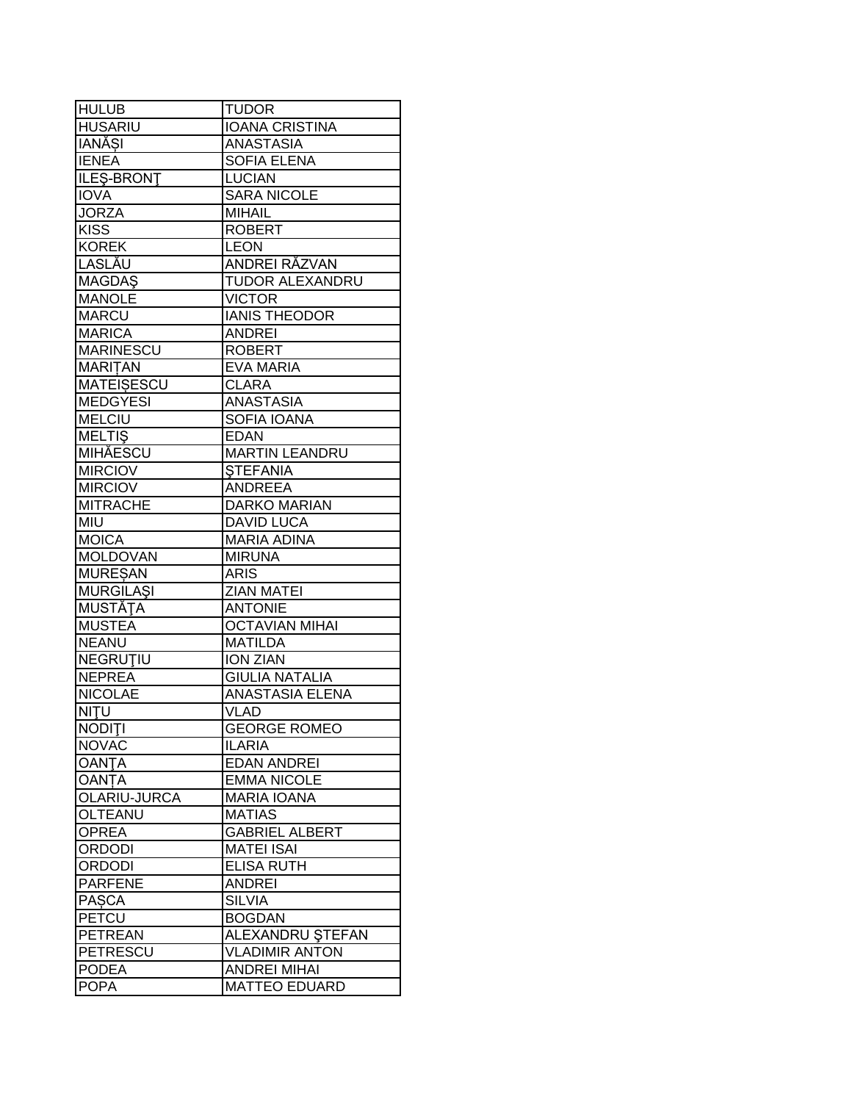| <b>HULUB</b>      | <b>TUDOR</b>           |
|-------------------|------------------------|
| <b>HUSARIU</b>    | <b>IOANA CRISTINA</b>  |
| <b>IANĂSI</b>     | <b>ANASTASIA</b>       |
| <b>IENEA</b>      | <b>SOFIA ELENA</b>     |
| ILES-BRONT        | <b>LUCIAN</b>          |
| <b>IOVA</b>       | <b>SARA NICOLE</b>     |
| <b>JORZA</b>      | <b>MIHAIL</b>          |
| <b>KISS</b>       | <b>ROBERT</b>          |
| <b>KOREK</b>      | <b>LEON</b>            |
| LASLĂU            | ANDREI RĂZVAN          |
| <b>MAGDAŞ</b>     | <b>TUDOR ALEXANDRU</b> |
| <b>MANOLE</b>     | <b>VICTOR</b>          |
| <b>MARCU</b>      | <b>IANIS THEODOR</b>   |
| <b>MARICA</b>     | <b>ANDREI</b>          |
| <b>MARINESCU</b>  | <b>ROBERT</b>          |
| <b>MARITAN</b>    | <b>EVA MARIA</b>       |
| <b>MATEISESCU</b> | <b>CLARA</b>           |
| <b>MEDGYESI</b>   | ANASTASIA              |
| <b>MELCIU</b>     | SOFIA IOANA            |
| <b>MELTIS</b>     | <b>EDAN</b>            |
| <b>MIHĂESCU</b>   | <b>MARTIN LEANDRU</b>  |
| <b>MIRCIOV</b>    | <b>STEFANIA</b>        |
| <b>MIRCIOV</b>    | <b>ANDREEA</b>         |
| <b>MITRACHE</b>   | <b>DARKO MARIAN</b>    |
| MIU               | <b>DAVID LUCA</b>      |
| <b>MOICA</b>      | <b>MARIA ADINA</b>     |
| <b>MOLDOVAN</b>   | <b>MIRUNA</b>          |
| <b>MURESAN</b>    | <b>ARIS</b>            |
| <b>MURGILAŞI</b>  | <b>ZIAN MATEI</b>      |
| <b>MUSTĂȚA</b>    | <b>ANTONIE</b>         |
| <b>MUSTEA</b>     | <b>OCTAVIAN MIHAI</b>  |
| <b>NEANU</b>      | <b>MATILDA</b>         |
| <b>NEGRUTIU</b>   | <b>ION ZIAN</b>        |
| <b>NEPREA</b>     | <b>GIULIA NATALIA</b>  |
| <b>NICOLAE</b>    | <b>ANASTASIA ELENA</b> |
| NITU              | <b>VLAD</b>            |
| <b>NODITI</b>     | <b>GEORGE ROMEO</b>    |
| <b>NOVAC</b>      | <b>ILARIA</b>          |
| <b>OANTA</b>      | <b>EDAN ANDREI</b>     |
| <b>OANTA</b>      | <b>EMMA NICOLE</b>     |
| OLARIU-JURCA      | <b>MARIA IOANA</b>     |
| OLTEANU           | <b>MATIAS</b>          |
| <b>OPREA</b>      | <b>GABRIEL ALBERT</b>  |
| ORDODI            | <b>MATEI ISAI</b>      |
| ORDODI            | <b>ELISA RUTH</b>      |
| <b>PARFENE</b>    | <b>ANDREI</b>          |
| <b>PASCA</b>      | <b>SILVIA</b>          |
| <b>PETCU</b>      | <b>BOGDAN</b>          |
| PETREAN           | ALEXANDRU ȘTEFAN       |
| PETRESCU          | <b>VLADIMIR ANTON</b>  |
| <b>PODEA</b>      | <b>ANDREI MIHAI</b>    |
| <b>POPA</b>       | <b>MATTEO EDUARD</b>   |
|                   |                        |